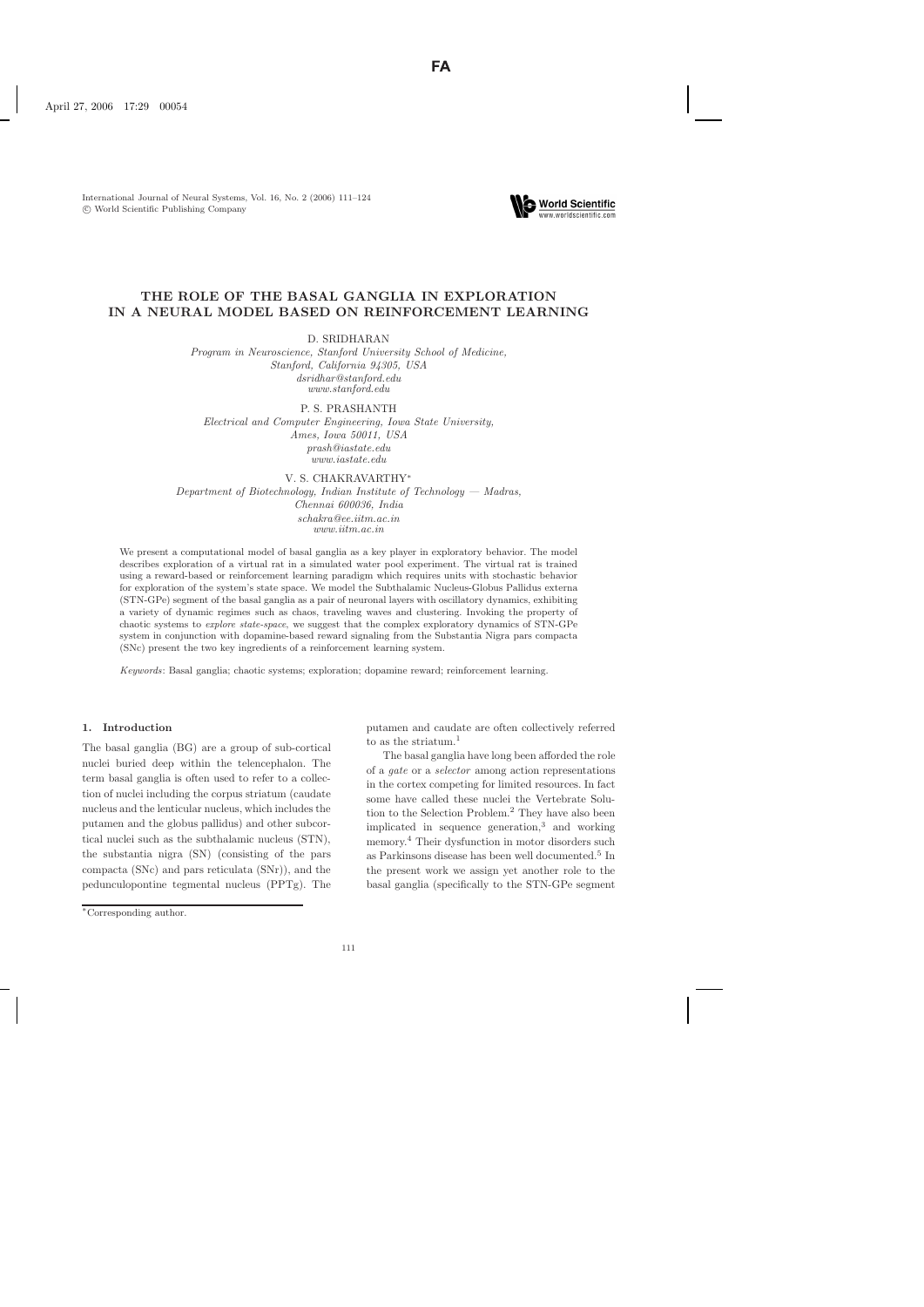International Journal of Neural Systems, Vol. 16, No. 2 (2006) 111–124 c World Scientific Publishing Company

# **THE ROLE OF THE BASAL GANGLIA IN EXPLORATION IN A NEURAL MODEL BASED ON REINFORCEMENT LEARNING**

#### D. SRIDHARAN

*Program in Neuroscience, Stanford University School of Medicine, Stanford, California 94305, USA dsridhar@stanford.edu www.stanford.edu*

#### P. S. PRASHANTH

*Electrical and Computer Engineering, Iowa State University, Ames, Iowa 50011, USA prash@iastate.edu www.iastate.edu*

# V. S. CHAKRAVARTHY∗

*Department of Biotechnology, Indian Institute of Technology — Madras, Chennai 600036, India schakra@ee.iitm.ac.in www.iitm.ac.in*

We present a computational model of basal ganglia as a key player in exploratory behavior. The model describes exploration of a virtual rat in a simulated water pool experiment. The virtual rat is trained using a reward-based or reinforcement learning paradigm which requires units with stochastic behavior for exploration of the system's state space. We model the Subthalamic Nucleus-Globus Pallidus externa (STN-GPe) segment of the basal ganglia as a pair of neuronal layers with oscillatory dynamics, exhibiting a variety of dynamic regimes such as chaos, traveling waves and clustering. Invoking the property of chaotic systems to *explore state-space*, we suggest that the complex exploratory dynamics of STN-GPe system in conjunction with dopamine-based reward signaling from the Substantia Nigra pars compacta (SNc) present the two key ingredients of a reinforcement learning system.

*Keywords*: Basal ganglia; chaotic systems; exploration; dopamine reward; reinforcement learning.

### **1. Introduction**

The basal ganglia (BG) are a group of sub-cortical nuclei buried deep within the telencephalon. The term basal ganglia is often used to refer to a collection of nuclei including the corpus striatum (caudate nucleus and the lenticular nucleus, which includes the putamen and the globus pallidus) and other subcortical nuclei such as the subthalamic nucleus (STN), the substantia nigra (SN) (consisting of the pars compacta (SNc) and pars reticulata (SNr)), and the pedunculopontine tegmental nucleus (PPTg). The putamen and caudate are often collectively referred to as the striatum.<sup>1</sup>

The basal ganglia have long been afforded the role of a *gate* or a *selector* among action representations in the cortex competing for limited resources. In fact some have called these nuclei the Vertebrate Solution to the Selection Problem.<sup>2</sup> They have also been implicated in sequence generation,<sup>3</sup> and working memory.<sup>4</sup> Their dysfunction in motor disorders such as Parkinsons disease has been well documented.<sup>5</sup> In the present work we assign yet another role to the basal ganglia (specifically to the STN-GPe segment



<sup>∗</sup>Corresponding author.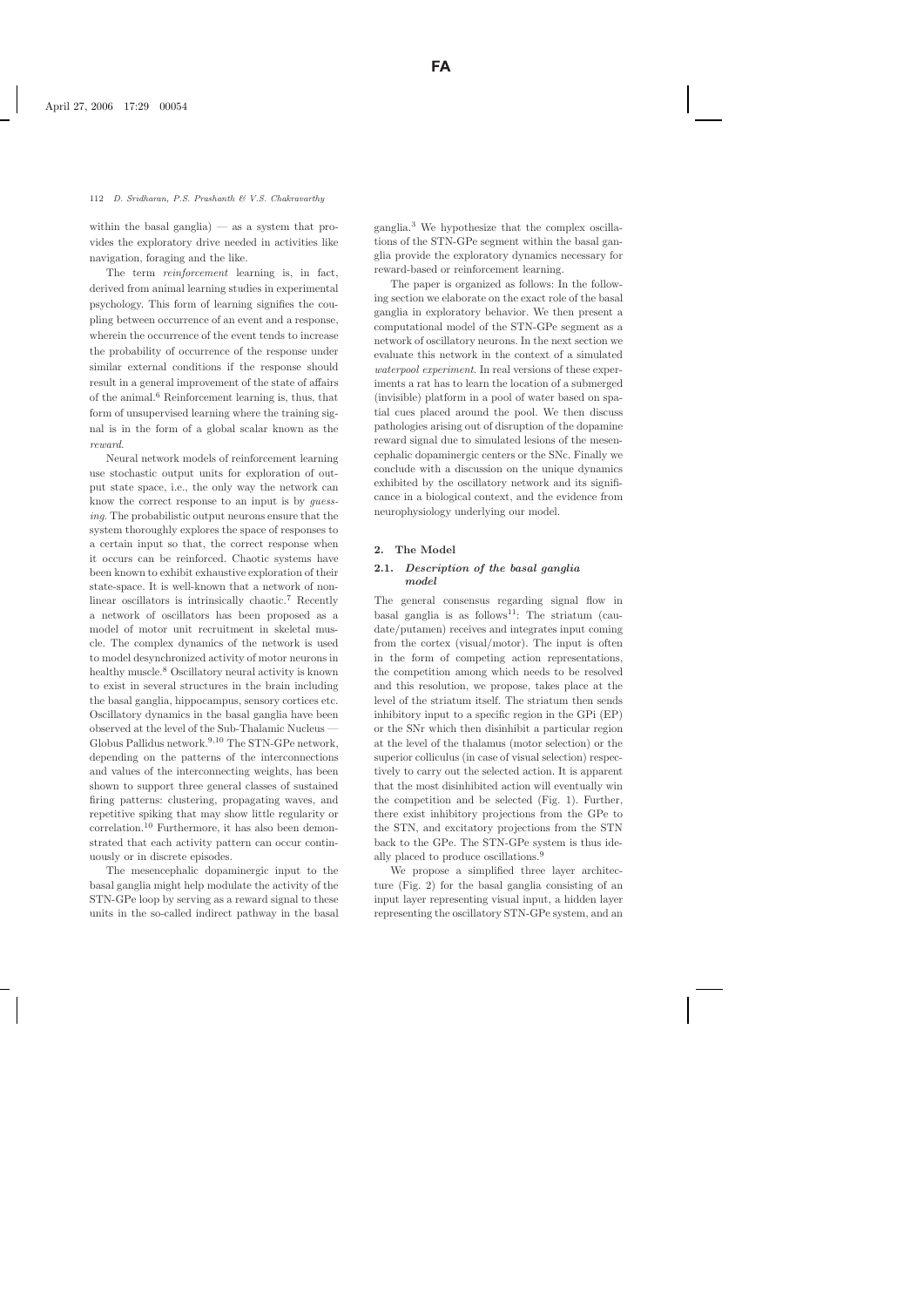within the basal ganglia) — as a system that provides the exploratory drive needed in activities like navigation, foraging and the like.

The term *reinforcement* learning is, in fact, derived from animal learning studies in experimental psychology. This form of learning signifies the coupling between occurrence of an event and a response, wherein the occurrence of the event tends to increase the probability of occurrence of the response under similar external conditions if the response should result in a general improvement of the state of affairs of the animal. $6$  Reinforcement learning is, thus, that form of unsupervised learning where the training signal is in the form of a global scalar known as the *reward*.

Neural network models of reinforcement learning use stochastic output units for exploration of output state space, i.e., the only way the network can know the correct response to an input is by *guessing*. The probabilistic output neurons ensure that the system thoroughly explores the space of responses to a certain input so that, the correct response when it occurs can be reinforced. Chaotic systems have been known to exhibit exhaustive exploration of their state-space. It is well-known that a network of nonlinear oscillators is intrinsically chaotic.<sup>7</sup> Recently a network of oscillators has been proposed as a model of motor unit recruitment in skeletal muscle. The complex dynamics of the network is used to model desynchronized activity of motor neurons in healthy muscle.<sup>8</sup> Oscillatory neural activity is known to exist in several structures in the brain including the basal ganglia, hippocampus, sensory cortices etc. Oscillatory dynamics in the basal ganglia have been observed at the level of the Sub-Thalamic Nucleus — Globus Pallidus network. $9,10$  The STN-GPe network, depending on the patterns of the interconnections and values of the interconnecting weights, has been shown to support three general classes of sustained firing patterns: clustering, propagating waves, and repetitive spiking that may show little regularity or correlation.<sup>10</sup> Furthermore, it has also been demonstrated that each activity pattern can occur continuously or in discrete episodes.

The mesencephalic dopaminergic input to the basal ganglia might help modulate the activity of the STN-GPe loop by serving as a reward signal to these units in the so-called indirect pathway in the basal ganglia.<sup>3</sup> We hypothesize that the complex oscillations of the STN-GPe segment within the basal ganglia provide the exploratory dynamics necessary for reward-based or reinforcement learning.

The paper is organized as follows: In the following section we elaborate on the exact role of the basal ganglia in exploratory behavior. We then present a computational model of the STN-GPe segment as a network of oscillatory neurons. In the next section we evaluate this network in the context of a simulated *waterpool experiment*. In real versions of these experiments a rat has to learn the location of a submerged (invisible) platform in a pool of water based on spatial cues placed around the pool. We then discuss pathologies arising out of disruption of the dopamine reward signal due to simulated lesions of the mesencephalic dopaminergic centers or the SNc. Finally we conclude with a discussion on the unique dynamics exhibited by the oscillatory network and its significance in a biological context, and the evidence from neurophysiology underlying our model.

# **2. The Model**

# **2.1.** *Description of the basal ganglia model*

The general consensus regarding signal flow in basal ganglia is as follows<sup>11</sup>: The striatum (caudate/putamen) receives and integrates input coming from the cortex (visual/motor). The input is often in the form of competing action representations, the competition among which needs to be resolved and this resolution, we propose, takes place at the level of the striatum itself. The striatum then sends inhibitory input to a specific region in the GPi (EP) or the SNr which then disinhibit a particular region at the level of the thalamus (motor selection) or the superior colliculus (in case of visual selection) respectively to carry out the selected action. It is apparent that the most disinhibited action will eventually win the competition and be selected (Fig. 1). Further, there exist inhibitory projections from the GPe to the STN, and excitatory projections from the STN back to the GPe. The STN-GPe system is thus ideally placed to produce oscillations.<sup>9</sup>

We propose a simplified three layer architecture (Fig. 2) for the basal ganglia consisting of an input layer representing visual input, a hidden layer representing the oscillatory STN-GPe system, and an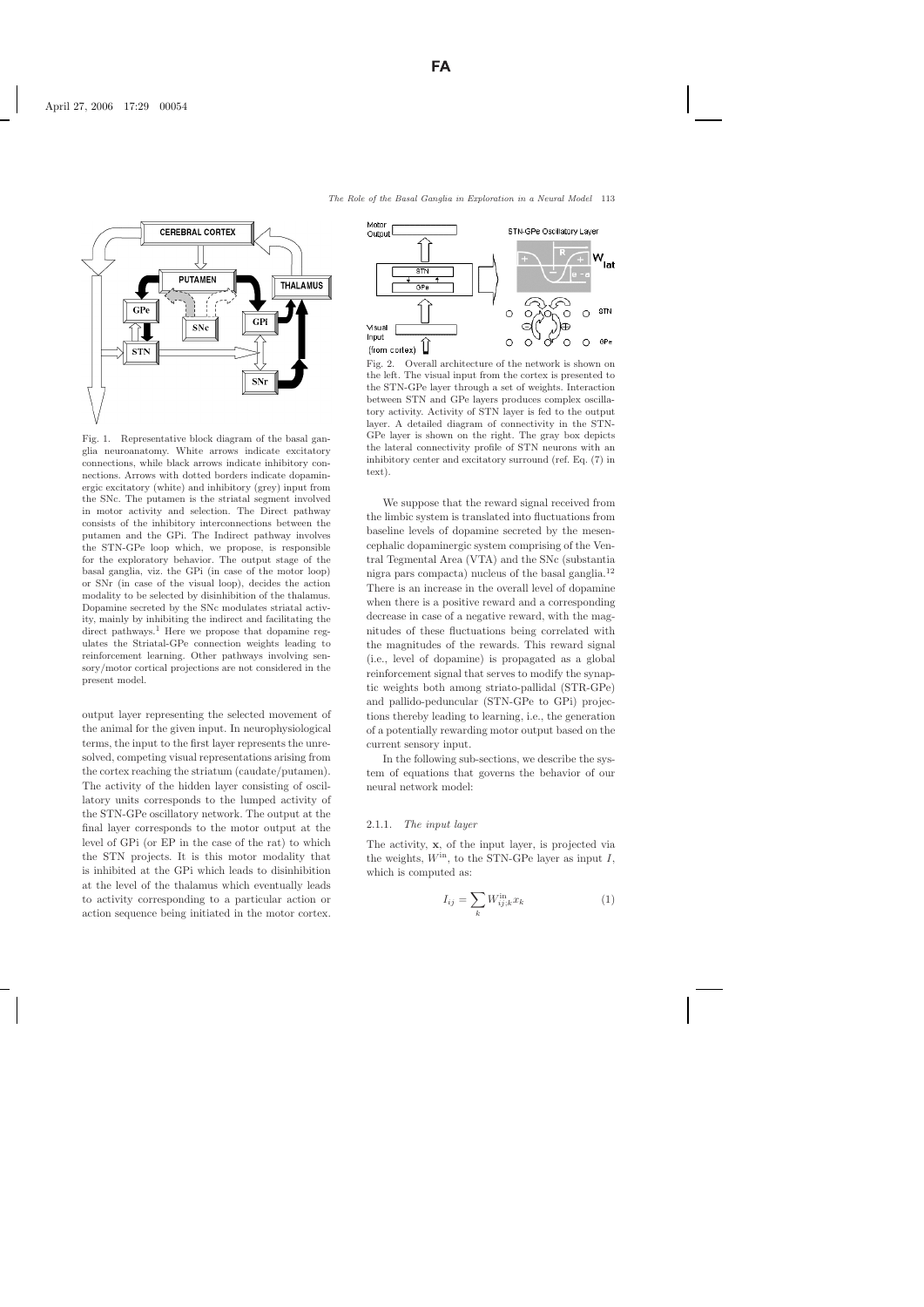

Fig. 1. Representative block diagram of the basal ganglia neuroanatomy. White arrows indicate excitatory connections, while black arrows indicate inhibitory connections. Arrows with dotted borders indicate dopaminergic excitatory (white) and inhibitory (grey) input from the SNc. The putamen is the striatal segment involved in motor activity and selection. The Direct pathway consists of the inhibitory interconnections between the putamen and the GPi. The Indirect pathway involves the STN-GPe loop which, we propose, is responsible for the exploratory behavior. The output stage of the basal ganglia, viz. the GPi (in case of the motor loop) or SNr (in case of the visual loop), decides the action modality to be selected by disinhibition of the thalamus. Dopamine secreted by the SNc modulates striatal activity, mainly by inhibiting the indirect and facilitating the direct pathways.<sup>1</sup> Here we propose that dopamine regulates the Striatal-GPe connection weights leading to reinforcement learning. Other pathways involving sensory/motor cortical projections are not considered in the present model.

output layer representing the selected movement of the animal for the given input. In neurophysiological terms, the input to the first layer represents the unresolved, competing visual representations arising from the cortex reaching the striatum (caudate/putamen). The activity of the hidden layer consisting of oscillatory units corresponds to the lumped activity of the STN-GPe oscillatory network. The output at the final layer corresponds to the motor output at the level of GPi (or EP in the case of the rat) to which the STN projects. It is this motor modality that is inhibited at the GPi which leads to disinhibition at the level of the thalamus which eventually leads to activity corresponding to a particular action or action sequence being initiated in the motor cortex.

Motor STN-GPe Oscillatory Layer Output  $w_{\sf lat}$  $STN$  $GP$ STN Ö O

*The Role of the Basal Ganglia in Exploration in a Neural Model* 113

Visual

Input

### ĺ (from cortex) Fig. 2. Overall architecture of the network is shown on the left. The visual input from the cortex is presented to the STN-GPe layer through a set of weights. Interaction between STN and GPe layers produces complex oscillatory activity. Activity of STN layer is fed to the output layer. A detailed diagram of connectivity in the STN-GPe layer is shown on the right. The gray box depicts the lateral connectivity profile of STN neurons with an inhibitory center and excitatory surround (ref. Eq. (7) in text).

 $\circ$ 

 $\circ$  $\circ$ GPe

We suppose that the reward signal received from the limbic system is translated into fluctuations from baseline levels of dopamine secreted by the mesencephalic dopaminergic system comprising of the Ventral Tegmental Area (VTA) and the SNc (substantia nigra pars compacta) nucleus of the basal ganglia.<sup>12</sup> There is an increase in the overall level of dopamine when there is a positive reward and a corresponding decrease in case of a negative reward, with the magnitudes of these fluctuations being correlated with the magnitudes of the rewards. This reward signal (i.e., level of dopamine) is propagated as a global reinforcement signal that serves to modify the synaptic weights both among striato-pallidal (STR-GPe) and pallido-peduncular (STN-GPe to GPi) projections thereby leading to learning, i.e., the generation of a potentially rewarding motor output based on the current sensory input.

In the following sub-sections, we describe the system of equations that governs the behavior of our neural network model:

### 2.1.1. *The input layer*

The activity, **x**, of the input layer, is projected via the weights,  $W^{\text{in}}$ , to the STN-GPe layer as input I, which is computed as:

$$
I_{ij} = \sum_{k} W_{ij;k}^{\text{in}} x_k \tag{1}
$$

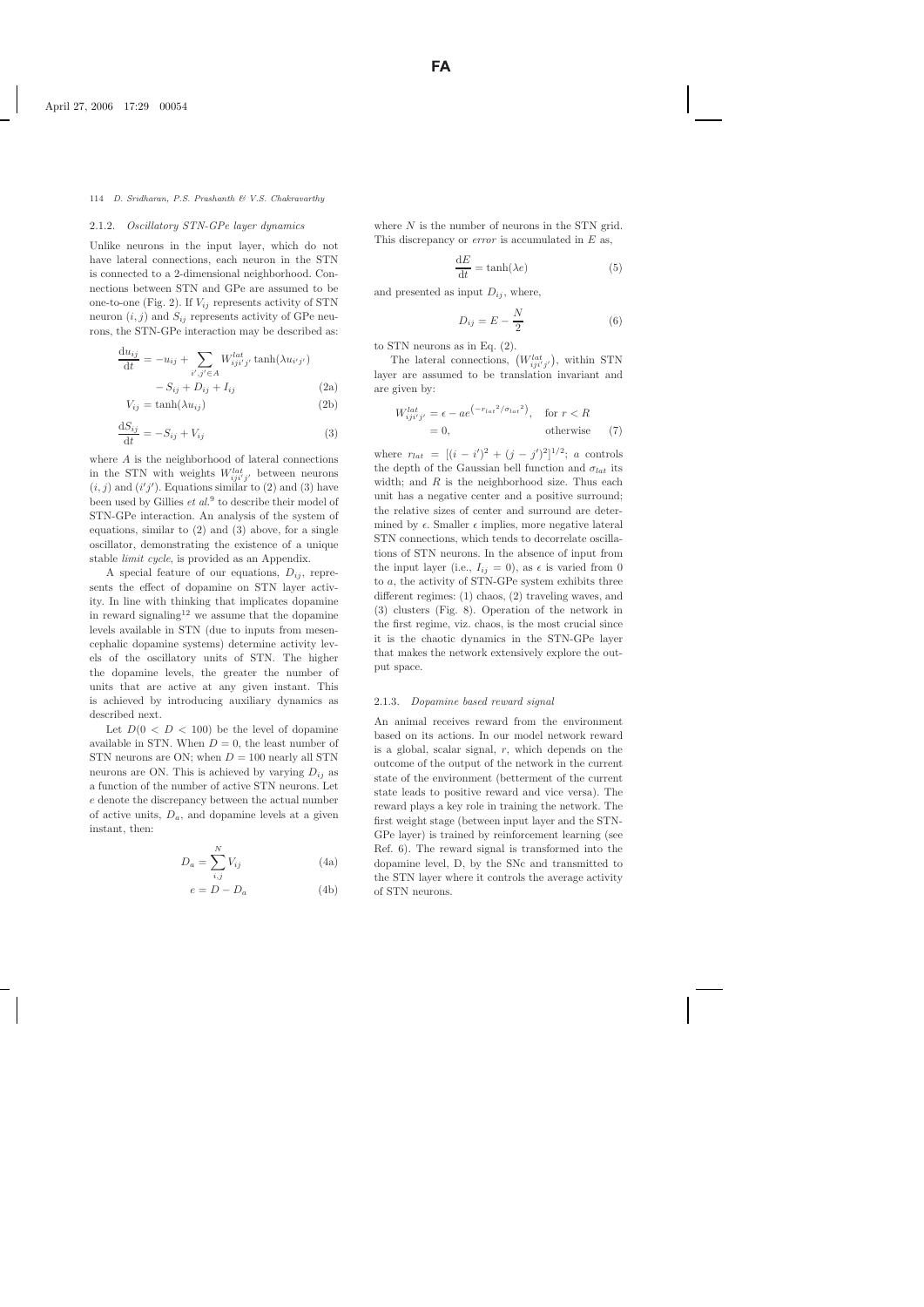### 2.1.2. *Oscillatory STN-GPe layer dynamics*

Unlike neurons in the input layer, which do not have lateral connections, each neuron in the STN is connected to a 2-dimensional neighborhood. Connections between STN and GPe are assumed to be one-to-one (Fig. 2). If  $V_{ij}$  represents activity of STN neuron  $(i, j)$  and  $S_{ij}$  represents activity of GPe neurons, the STN-GPe interaction may be described as:

$$
\frac{du_{ij}}{dt} = -u_{ij} + \sum_{i',j' \in A} W_{iji'j'}^{lat} \tanh(\lambda u_{i'j'})
$$

$$
-S_{ij} + D_{ij} + I_{ij} \tag{2a}
$$

$$
V_{ij} = \tanh(\lambda u_{ij})\tag{2b}
$$

$$
\frac{\mathrm{d}S_{ij}}{\mathrm{d}t} = -S_{ij} + V_{ij} \tag{3}
$$

where A is the neighborhood of lateral connections in the STN with weights  $W_{ij i' j'}^{lat}$  between neurons  $(i, j)$  and  $(i'j')$ . Equations similar to (2) and (3) have been used by Gillies *et al.*<sup>9</sup> to describe their model of STN-GPe interaction. An analysis of the system of equations, similar to (2) and (3) above, for a single oscillator, demonstrating the existence of a unique stable *limit cycle*, is provided as an Appendix.

A special feature of our equations,  $D_{ij}$ , represents the effect of dopamine on STN layer activity. In line with thinking that implicates dopamine in reward signaling<sup>12</sup> we assume that the dopamine levels available in STN (due to inputs from mesencephalic dopamine systems) determine activity levels of the oscillatory units of STN. The higher the dopamine levels, the greater the number of units that are active at any given instant. This is achieved by introducing auxiliary dynamics as described next.

Let  $D(0 < D < 100)$  be the level of dopamine available in STN. When  $D = 0$ , the least number of STN neurons are ON; when  $D = 100$  nearly all STN neurons are ON. This is achieved by varying  $D_{ij}$  as a function of the number of active STN neurons. Let e denote the discrepancy between the actual number of active units,  $D_a$ , and dopamine levels at a given instant, then:

$$
D_a = \sum_{i,j}^{N} V_{ij} \tag{4a}
$$

$$
e = D - D_a \tag{4b}
$$

where  $N$  is the number of neurons in the STN grid. This discrepancy or *error* is accumulated in E as,

$$
\frac{\mathrm{d}E}{\mathrm{d}t} = \tanh(\lambda e) \tag{5}
$$

and presented as input  $D_{ij}$ , where,

$$
D_{ij} = E - \frac{N}{2} \tag{6}
$$

to STN neurons as in Eq. (2).

The lateral connections,  $(W_{iji'j'}^{lat})$ , within STN layer are assumed to be translation invariant and are given by:

$$
W_{iji'j'}^{lat} = \epsilon - ae^{(-r_{lat}^2/\sigma_{lat}^2)}, \quad \text{for } r < R
$$
\n
$$
= 0, \qquad \text{otherwise} \qquad (7)
$$

where  $r_{lat} = [(i - i')^2 + (j - j')^2]^{1/2}$ ; a controls the depth of the Gaussian bell function and  $\sigma_{lat}$  its width; and  $R$  is the neighborhood size. Thus each unit has a negative center and a positive surround; the relative sizes of center and surround are determined by  $\epsilon$ . Smaller  $\epsilon$  implies, more negative lateral STN connections, which tends to decorrelate oscillations of STN neurons. In the absence of input from the input layer (i.e.,  $I_{ij} = 0$ ), as  $\epsilon$  is varied from 0 to a, the activity of STN-GPe system exhibits three different regimes: (1) chaos, (2) traveling waves, and (3) clusters (Fig. 8). Operation of the network in the first regime, viz. chaos, is the most crucial since it is the chaotic dynamics in the STN-GPe layer that makes the network extensively explore the output space.

#### 2.1.3. *Dopamine based reward signal*

An animal receives reward from the environment based on its actions. In our model network reward is a global, scalar signal,  $r$ , which depends on the outcome of the output of the network in the current state of the environment (betterment of the current state leads to positive reward and vice versa). The reward plays a key role in training the network. The first weight stage (between input layer and the STN-GPe layer) is trained by reinforcement learning (see Ref. 6). The reward signal is transformed into the dopamine level, D, by the SNc and transmitted to the STN layer where it controls the average activity of STN neurons.

FA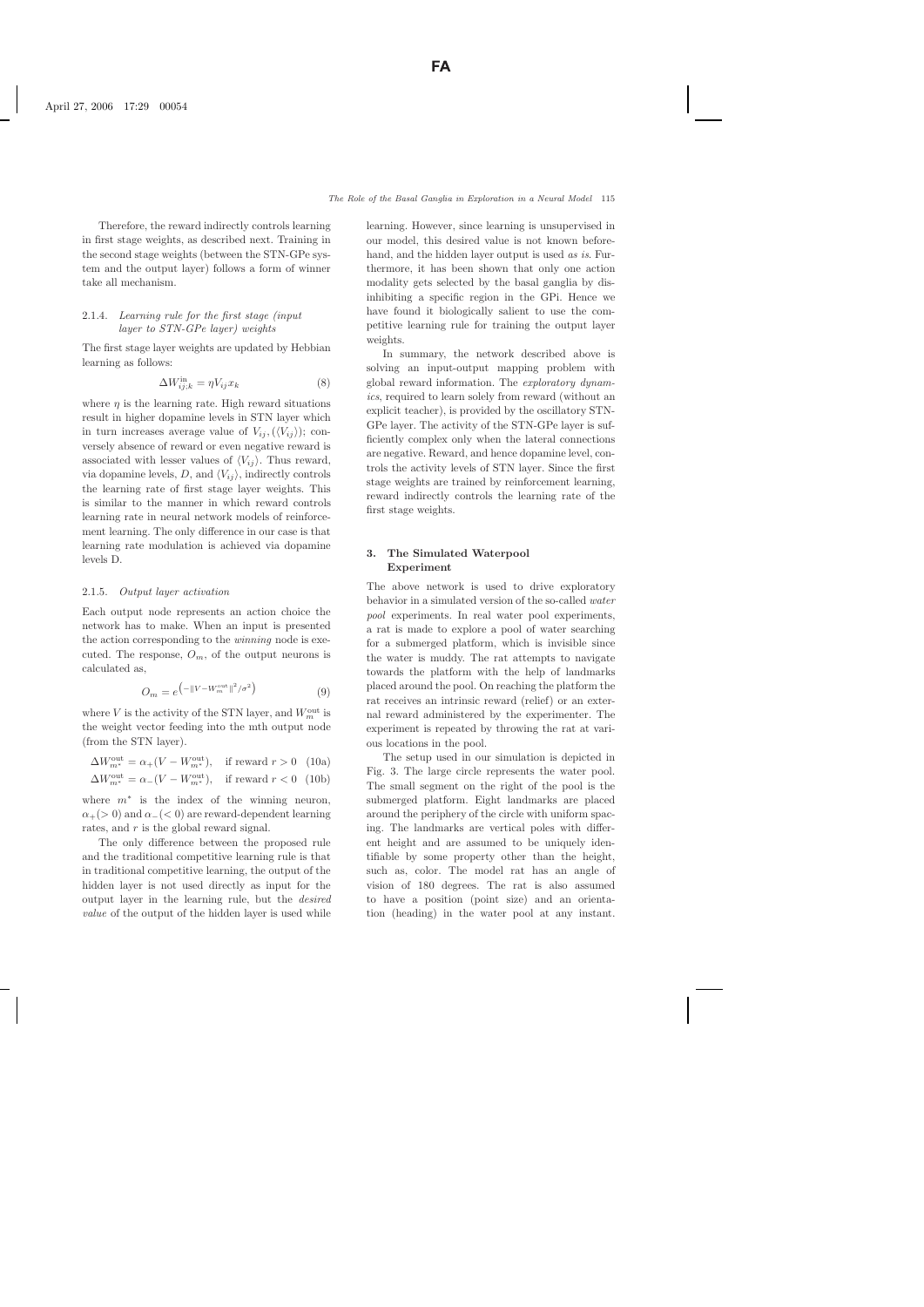Therefore, the reward indirectly controls learning in first stage weights, as described next. Training in the second stage weights (between the STN-GPe system and the output layer) follows a form of winner take all mechanism.

# 2.1.4. *Learning rule for the first stage (input layer to STN-GPe layer) weights*

The first stage layer weights are updated by Hebbian learning as follows:

$$
\Delta W_{ij;k}^{\text{in}} = \eta V_{ij} x_k \tag{8}
$$

where  $\eta$  is the learning rate. High reward situations result in higher dopamine levels in STN layer which in turn increases average value of  $V_{ij}$ ,  $(\langle V_{ij} \rangle)$ ; conversely absence of reward or even negative reward is associated with lesser values of  $\langle V_{ij} \rangle$ . Thus reward, via dopamine levels,  $D$ , and  $\langle V_{ij} \rangle$ , indirectly controls the learning rate of first stage layer weights. This is similar to the manner in which reward controls learning rate in neural network models of reinforcement learning. The only difference in our case is that learning rate modulation is achieved via dopamine levels D.

#### 2.1.5. *Output layer activation*

Each output node represents an action choice the network has to make. When an input is presented the action corresponding to the *winning* node is executed. The response,  $O_m$ , of the output neurons is calculated as,

$$
O_m = e^{\left(-\left\|V - W_m^{\text{out}}\right\|^2/\sigma^2\right)}\tag{9}
$$

where  $V$  is the activity of the STN layer, and  $W_m^{\text{out}}$  is the weight vector feeding into the mth output node (from the STN layer).

$$
\Delta W_{m^*}^{\text{out}} = \alpha_+(V - W_{m^*}^{\text{out}}), \quad \text{if reward } r > 0 \quad (10a)
$$
  

$$
\Delta W_{m^*}^{\text{out}} = \alpha_-(V - W_{m^*}^{\text{out}}), \quad \text{if reward } r < 0 \quad (10b)
$$

where  $m^*$  is the index of the winning neuron,  $\alpha_{+}(>0)$  and  $\alpha_{-}(<0)$  are reward-dependent learning rates, and  $r$  is the global reward signal.

The only difference between the proposed rule and the traditional competitive learning rule is that in traditional competitive learning, the output of the hidden layer is not used directly as input for the output layer in the learning rule, but the *desired value* of the output of the hidden layer is used while

learning. However, since learning is unsupervised in our model, this desired value is not known beforehand, and the hidden layer output is used *as is*. Furthermore, it has been shown that only one action modality gets selected by the basal ganglia by disinhibiting a specific region in the GPi. Hence we have found it biologically salient to use the competitive learning rule for training the output layer weights.

In summary, the network described above is solving an input-output mapping problem with global reward information. The *exploratory dynamics*, required to learn solely from reward (without an explicit teacher), is provided by the oscillatory STN-GPe layer. The activity of the STN-GPe layer is sufficiently complex only when the lateral connections are negative. Reward, and hence dopamine level, controls the activity levels of STN layer. Since the first stage weights are trained by reinforcement learning, reward indirectly controls the learning rate of the first stage weights.

# **3. The Simulated Waterpool Experiment**

The above network is used to drive exploratory behavior in a simulated version of the so-called *water pool* experiments. In real water pool experiments, a rat is made to explore a pool of water searching for a submerged platform, which is invisible since the water is muddy. The rat attempts to navigate towards the platform with the help of landmarks placed around the pool. On reaching the platform the rat receives an intrinsic reward (relief) or an external reward administered by the experimenter. The experiment is repeated by throwing the rat at various locations in the pool.

The setup used in our simulation is depicted in Fig. 3. The large circle represents the water pool. The small segment on the right of the pool is the submerged platform. Eight landmarks are placed around the periphery of the circle with uniform spacing. The landmarks are vertical poles with different height and are assumed to be uniquely identifiable by some property other than the height, such as, color. The model rat has an angle of vision of 180 degrees. The rat is also assumed to have a position (point size) and an orientation (heading) in the water pool at any instant.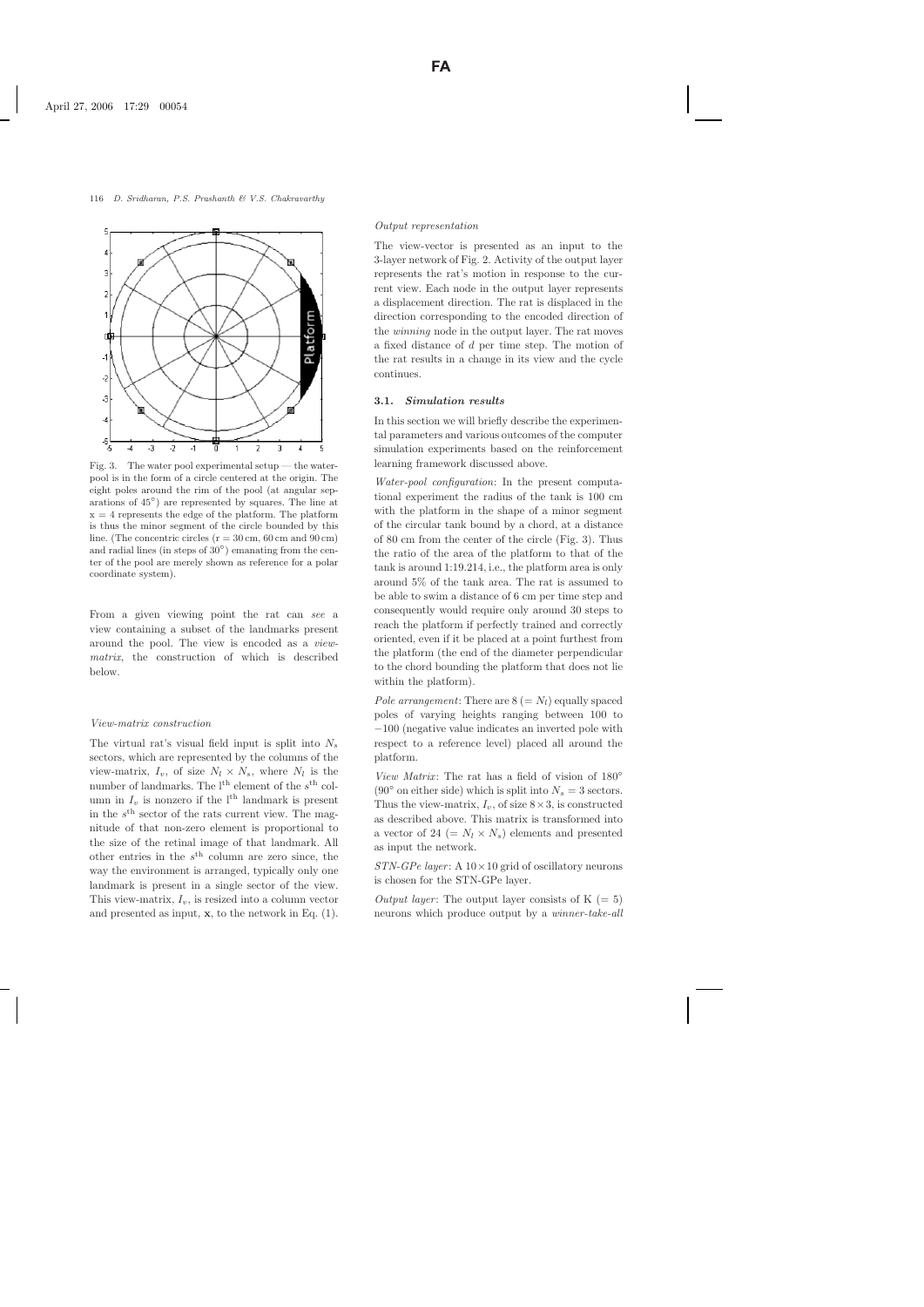

Fig. 3. The water pool experimental setup — the waterpool is in the form of a circle centered at the origin. The eight poles around the rim of the pool (at angular separations of 45◦) are represented by squares. The line at  $x = 4$  represents the edge of the platform. The platform is thus the minor segment of the circle bounded by this line. (The concentric circles  $(r = 30 \text{ cm}, 60 \text{ cm} \text{ and } 90 \text{ cm})$ ) and radial lines (in steps of  $30°$ ) emanating from the center of the pool are merely shown as reference for a polar coordinate system).

From a given viewing point the rat can *see* a view containing a subset of the landmarks present around the pool. The view is encoded as a *viewmatrix*, the construction of which is described below.

#### *View-matrix construction*

The virtual rat's visual field input is split into  $N_s$ sectors, which are represented by the columns of the view-matrix,  $I_v$ , of size  $N_l \times N_s$ , where  $N_l$  is the number of landmarks. The  $l<sup>th</sup>$  element of the  $s<sup>th</sup>$  column in  $I_v$  is nonzero if the l<sup>th</sup> landmark is present in the  $s<sup>th</sup>$  sector of the rats current view. The magnitude of that non-zero element is proportional to the size of the retinal image of that landmark. All other entries in the  $s<sup>th</sup>$  column are zero since, the way the environment is arranged, typically only one landmark is present in a single sector of the view. This view-matrix,  $I_v$ , is resized into a column vector and presented as input, **x**, to the network in Eq. (1).

#### *Output representation*

The view-vector is presented as an input to the 3-layer network of Fig. 2. Activity of the output layer represents the rat's motion in response to the current view. Each node in the output layer represents a displacement direction. The rat is displaced in the direction corresponding to the encoded direction of the *winning* node in the output layer. The rat moves a fixed distance of d per time step. The motion of the rat results in a change in its view and the cycle continues.

### **3.1.** *Simulation results*

In this section we will briefly describe the experimental parameters and various outcomes of the computer simulation experiments based on the reinforcement learning framework discussed above.

*Water-pool configuration*: In the present computational experiment the radius of the tank is 100 cm with the platform in the shape of a minor segment of the circular tank bound by a chord, at a distance of 80 cm from the center of the circle (Fig. 3). Thus the ratio of the area of the platform to that of the tank is around 1:19.214, i.e., the platform area is only around 5% of the tank area. The rat is assumed to be able to swim a distance of 6 cm per time step and consequently would require only around 30 steps to reach the platform if perfectly trained and correctly oriented, even if it be placed at a point furthest from the platform (the end of the diameter perpendicular to the chord bounding the platform that does not lie within the platform).

*Pole arrangement:* There are  $8 (= N_l)$  equally spaced poles of varying heights ranging between 100 to −100 (negative value indicates an inverted pole with respect to a reference level) placed all around the platform.

*View Matrix*: The rat has a field of vision of 180<sup>°</sup> (90 $\degree$  on either side) which is split into  $N_s = 3$  sectors. Thus the view-matrix,  $I_v$ , of size  $8 \times 3$ , is constructed as described above. This matrix is transformed into a vector of 24 (=  $N_l \times N_s$ ) elements and presented as input the network.

*STN-GPe layer*: A  $10 \times 10$  grid of oscillatory neurons is chosen for the STN-GPe layer.

*Output layer*: The output layer consists of  $K (= 5)$ neurons which produce output by a *winner-take-all*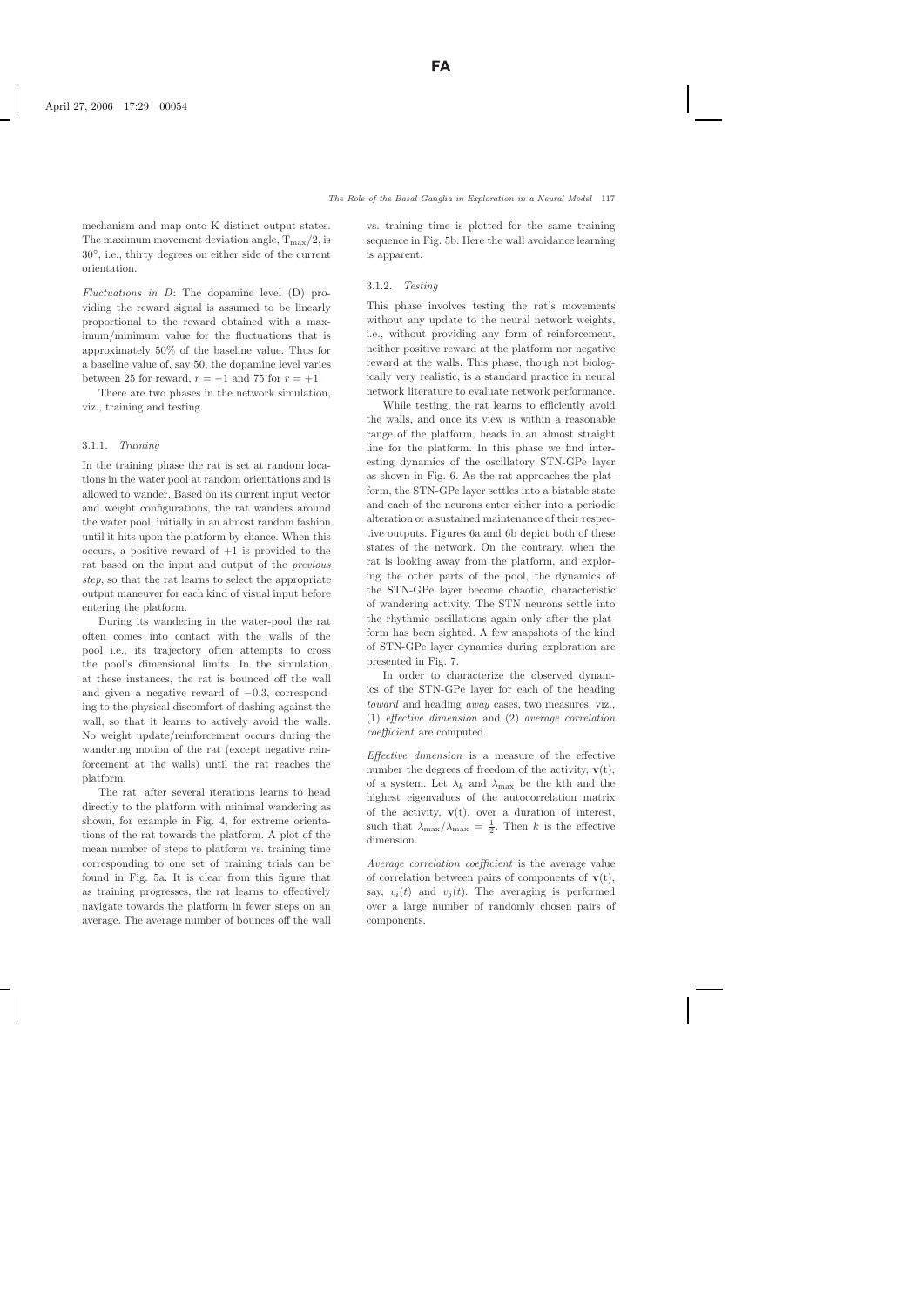mechanism and map onto K distinct output states. The maximum movement deviation angle,  $T_{\text{max}}/2$ , is 30◦, i.e., thirty degrees on either side of the current orientation.

*Fluctuations in D*: The dopamine level (D) providing the reward signal is assumed to be linearly proportional to the reward obtained with a maximum/minimum value for the fluctuations that is approximately 50% of the baseline value. Thus for a baseline value of, say 50, the dopamine level varies between 25 for reward,  $r = -1$  and 75 for  $r = +1$ .

There are two phases in the network simulation, viz., training and testing.

#### 3.1.1. *Training*

In the training phase the rat is set at random locations in the water pool at random orientations and is allowed to wander. Based on its current input vector and weight configurations, the rat wanders around the water pool, initially in an almost random fashion until it hits upon the platform by chance. When this occurs, a positive reward of  $+1$  is provided to the rat based on the input and output of the *previous step*, so that the rat learns to select the appropriate output maneuver for each kind of visual input before entering the platform.

During its wandering in the water-pool the rat often comes into contact with the walls of the pool i.e., its trajectory often attempts to cross the pool's dimensional limits. In the simulation, at these instances, the rat is bounced off the wall and given a negative reward of  $-0.3$ , corresponding to the physical discomfort of dashing against the wall, so that it learns to actively avoid the walls. No weight update/reinforcement occurs during the wandering motion of the rat (except negative reinforcement at the walls) until the rat reaches the platform.

The rat, after several iterations learns to head directly to the platform with minimal wandering as shown, for example in Fig. 4, for extreme orientations of the rat towards the platform. A plot of the mean number of steps to platform vs. training time corresponding to one set of training trials can be found in Fig. 5a. It is clear from this figure that as training progresses, the rat learns to effectively navigate towards the platform in fewer steps on an average. The average number of bounces off the wall vs. training time is plotted for the same training sequence in Fig. 5b. Here the wall avoidance learning is apparent.

### 3.1.2. *Testing*

This phase involves testing the rat's movements without any update to the neural network weights, i.e., without providing any form of reinforcement, neither positive reward at the platform nor negative reward at the walls. This phase, though not biologically very realistic, is a standard practice in neural network literature to evaluate network performance.

While testing, the rat learns to efficiently avoid the walls, and once its view is within a reasonable range of the platform, heads in an almost straight line for the platform. In this phase we find interesting dynamics of the oscillatory STN-GPe layer as shown in Fig. 6. As the rat approaches the platform, the STN-GPe layer settles into a bistable state and each of the neurons enter either into a periodic alteration or a sustained maintenance of their respective outputs. Figures 6a and 6b depict both of these states of the network. On the contrary, when the rat is looking away from the platform, and exploring the other parts of the pool, the dynamics of the STN-GPe layer become chaotic, characteristic of wandering activity. The STN neurons settle into the rhythmic oscillations again only after the platform has been sighted. A few snapshots of the kind of STN-GPe layer dynamics during exploration are presented in Fig. 7.

In order to characterize the observed dynamics of the STN-GPe layer for each of the heading *toward* and heading *away* cases, two measures, viz., (1) *effective dimension* and (2) *average correlation coefficient* are computed.

*Effective dimension* is a measure of the effective number the degrees of freedom of the activity,  $\mathbf{v}(t)$ , of a system. Let  $\lambda_k$  and  $\lambda_{\text{max}}$  be the kth and the highest eigenvalues of the autocorrelation matrix of the activity,  $\mathbf{v}(t)$ , over a duration of interest, such that  $\lambda_{\text{max}}/\lambda_{\text{max}} = \frac{1}{2}$ . Then k is the effective dimension.

*Average correlation coefficient* is the average value of correlation between pairs of components of  $\mathbf{v}(t)$ , say,  $v_i(t)$  and  $v_i(t)$ . The averaging is performed over a large number of randomly chosen pairs of components.

**FA**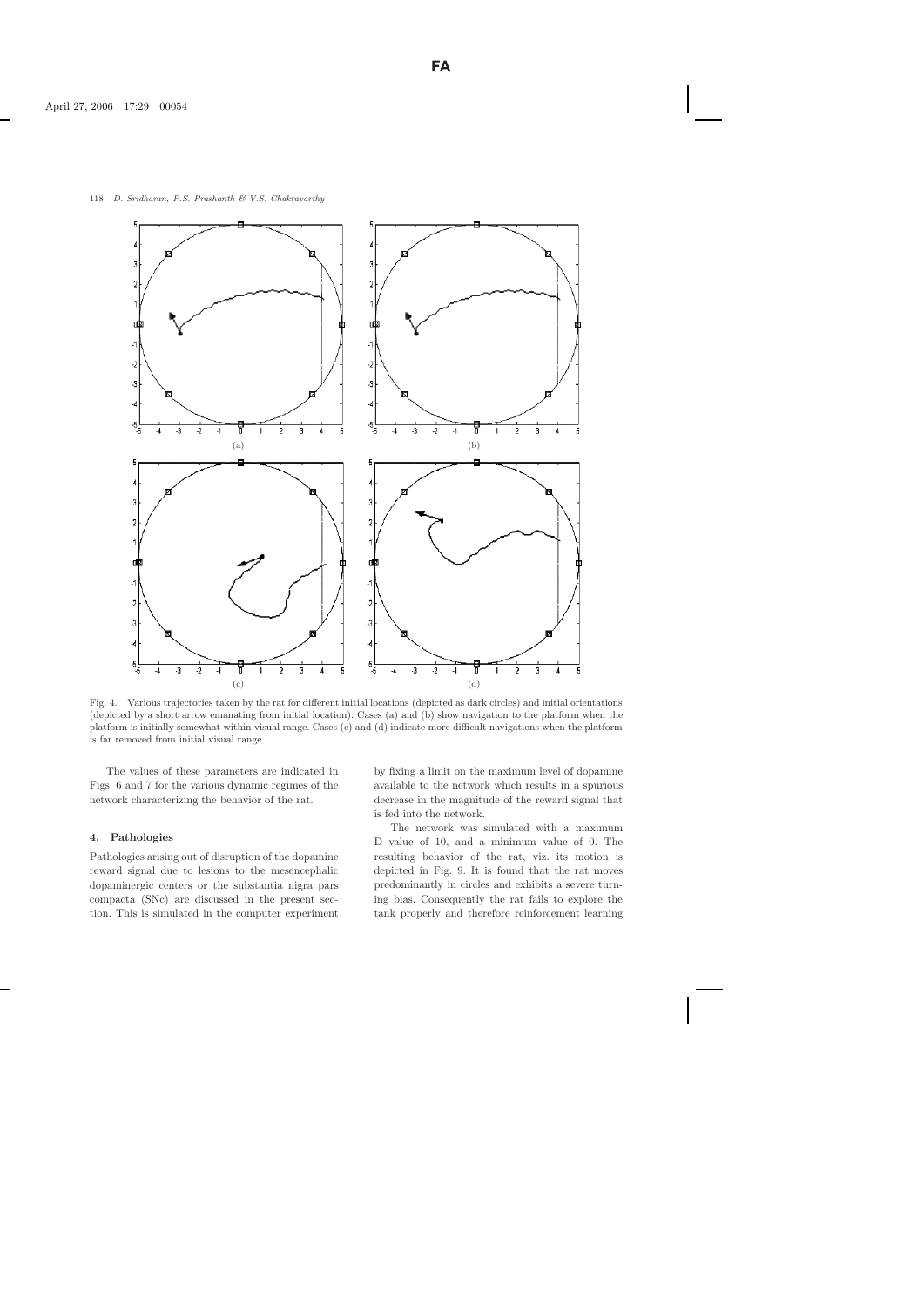

118 *D. Sridharan, P.S. Prashanth & V.S. Chakravarthy*

Fig. 4. Various trajectories taken by the rat for different initial locations (depicted as dark circles) and initial orientations (depicted by a short arrow emanating from initial location). Cases (a) and (b) show navigation to the platform when the platform is initially somewhat within visual range. Cases (c) and (d) indicate more difficult navigations when the platform is far removed from initial visual range.

The values of these parameters are indicated in Figs. 6 and 7 for the various dynamic regimes of the network characterizing the behavior of the rat.

# **4. Pathologies**

Pathologies arising out of disruption of the dopamine reward signal due to lesions to the mesencephalic dopaminergic centers or the substantia nigra pars compacta (SNc) are discussed in the present section. This is simulated in the computer experiment

by fixing a limit on the maximum level of dopamine available to the network which results in a spurious decrease in the magnitude of the reward signal that is fed into the network.

The network was simulated with a maximum D value of 10, and a minimum value of 0. The resulting behavior of the rat, viz. its motion is depicted in Fig. 9. It is found that the rat moves predominantly in circles and exhibits a severe turning bias. Consequently the rat fails to explore the tank properly and therefore reinforcement learning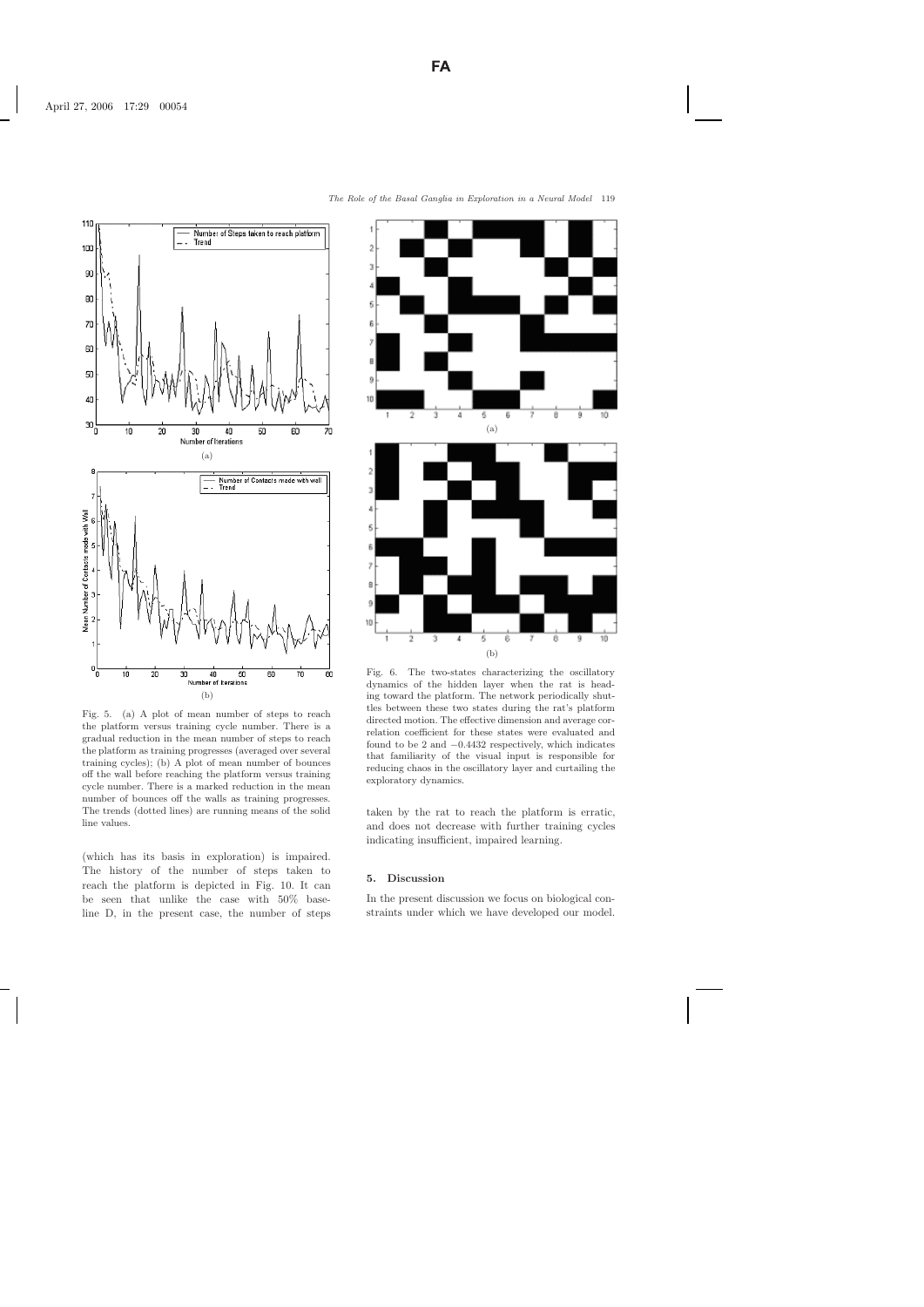

Fig. 5. (a) A plot of mean number of steps to reach the platform versus training cycle number. There is a gradual reduction in the mean number of steps to reach the platform as training progresses (averaged over several training cycles); (b) A plot of mean number of bounces off the wall before reaching the platform versus training cycle number. There is a marked reduction in the mean number of bounces off the walls as training progresses. The trends (dotted lines) are running means of the solid line values.

(which has its basis in exploration) is impaired. The history of the number of steps taken to reach the platform is depicted in Fig. 10. It can be seen that unlike the case with 50% baseline D, in the present case, the number of steps



dynamics of the hidden layer when the rat is heading toward the platform. The network periodically shuttles between these two states during the rat's platform directed motion. The effective dimension and average correlation coefficient for these states were evaluated and found to be 2 and *−*0.4432 respectively, which indicates that familiarity of the visual input is responsible for reducing chaos in the oscillatory layer and curtailing the exploratory dynamics.

taken by the rat to reach the platform is erratic, and does not decrease with further training cycles indicating insufficient, impaired learning.

#### **5. Discussion**

In the present discussion we focus on biological constraints under which we have developed our model.

*The Role of the Basal Ganglia in Exploration in a Neural Model* 119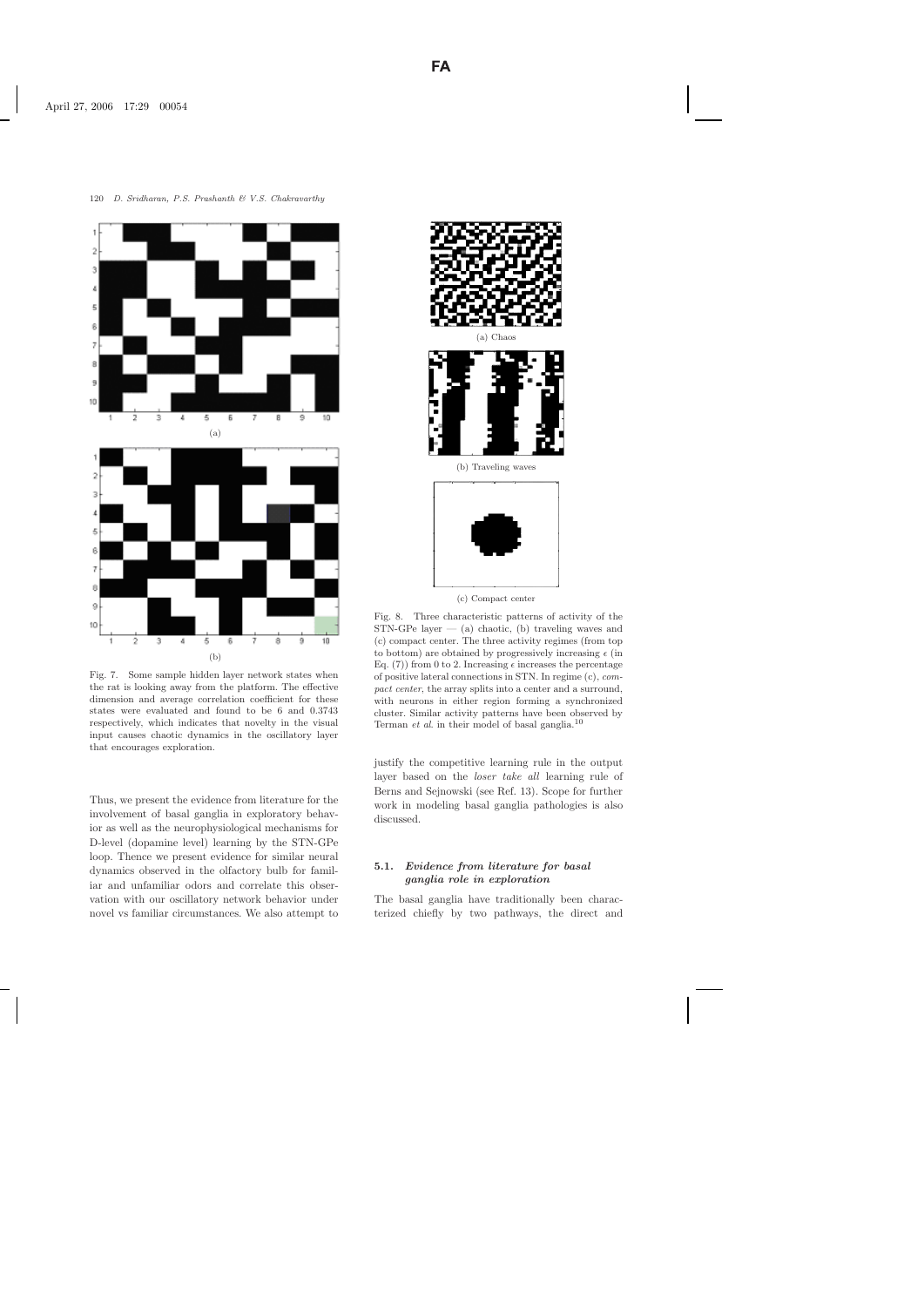

120 *D. Sridharan, P.S. Prashanth & V.S. Chakravarthy*

Fig. 7. Some sample hidden layer network states when the rat is looking away from the platform. The effective dimension and average correlation coefficient for these states were evaluated and found to be 6 and 0.3743 respectively, which indicates that novelty in the visual input causes chaotic dynamics in the oscillatory layer that encourages exploration.

Thus, we present the evidence from literature for the involvement of basal ganglia in exploratory behavior as well as the neurophysiological mechanisms for D-level (dopamine level) learning by the STN-GPe loop. Thence we present evidence for similar neural dynamics observed in the olfactory bulb for familiar and unfamiliar odors and correlate this observation with our oscillatory network behavior under novel vs familiar circumstances. We also attempt to



Fig. 8. Three characteristic patterns of activity of the  $STN-GPe$  layer  $-$  (a) chaotic, (b) traveling waves and (c) compact center. The three activity regimes (from top to bottom) are obtained by progressively increasing  $\epsilon$  (in Eq. (7)) from 0 to 2. Increasing  $\epsilon$  increases the percentage of positive lateral connections in STN. In regime (c), *compact center*, the array splits into a center and a surround, with neurons in either region forming a synchronized cluster. Similar activity patterns have been observed by Terman *et al*. in their model of basal ganglia.<sup>10</sup>

justify the competitive learning rule in the output layer based on the *loser take all* learning rule of Berns and Sejnowski (see Ref. 13). Scope for further work in modeling basal ganglia pathologies is also discussed.

# **5.1.** *Evidence from literature for basal ganglia role in exploration*

The basal ganglia have traditionally been characterized chiefly by two pathways, the direct and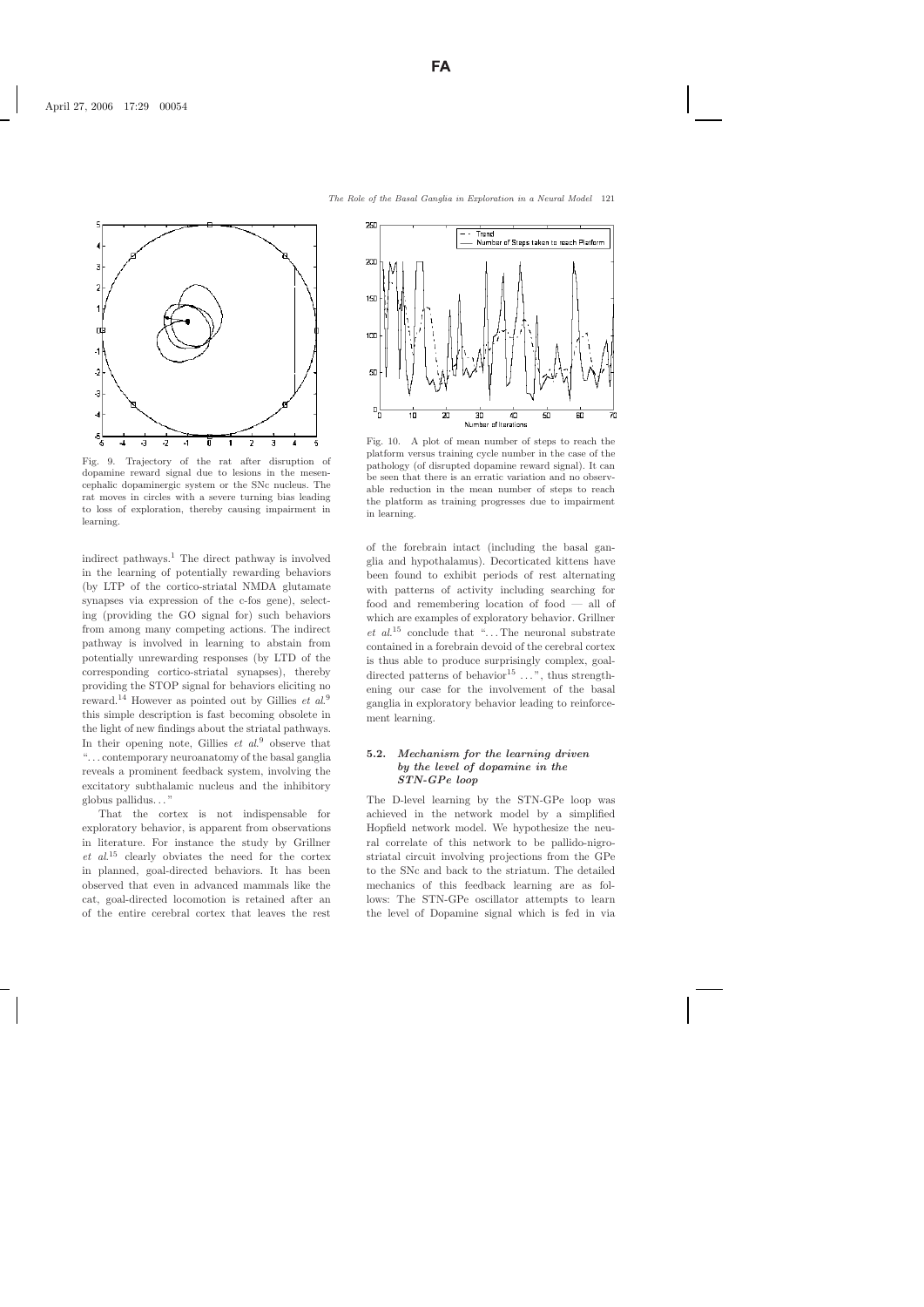

Fig. 9. Trajectory of the rat after disruption of dopamine reward signal due to lesions in the mesencephalic dopaminergic system or the SNc nucleus. The rat moves in circles with a severe turning bias leading to loss of exploration, thereby causing impairment in learning.

indirect pathways.<sup>1</sup> The direct pathway is involved in the learning of potentially rewarding behaviors (by LTP of the cortico-striatal NMDA glutamate synapses via expression of the c-fos gene), selecting (providing the GO signal for) such behaviors from among many competing actions. The indirect pathway is involved in learning to abstain from potentially unrewarding responses (by LTD of the corresponding cortico-striatal synapses), thereby providing the STOP signal for behaviors eliciting no reward.<sup>14</sup> However as pointed out by Gillies *et al*. 9 this simple description is fast becoming obsolete in the light of new findings about the striatal pathways. In their opening note, Gillies *et al*. <sup>9</sup> observe that ". . . contemporary neuroanatomy of the basal ganglia reveals a prominent feedback system, involving the excitatory subthalamic nucleus and the inhibitory globus pallidus. . . "

That the cortex is not indispensable for exploratory behavior, is apparent from observations in literature. For instance the study by Grillner *et al*. <sup>15</sup> clearly obviates the need for the cortex in planned, goal-directed behaviors. It has been observed that even in advanced mammals like the cat, goal-directed locomotion is retained after an of the entire cerebral cortex that leaves the rest

*The Role of the Basal Ganglia in Exploration in a Neural Model* 121



Fig. 10. A plot of mean number of steps to reach the platform versus training cycle number in the case of the pathology (of disrupted dopamine reward signal). It can be seen that there is an erratic variation and no observable reduction in the mean number of steps to reach the platform as training progresses due to impairment in learning.

of the forebrain intact (including the basal ganglia and hypothalamus). Decorticated kittens have been found to exhibit periods of rest alternating with patterns of activity including searching for food and remembering location of food — all of which are examples of exploratory behavior. Grillner *et al.*<sup>15</sup> conclude that "... The neuronal substrate contained in a forebrain devoid of the cerebral cortex is thus able to produce surprisingly complex, goaldirected patterns of behavior<sup>15</sup>  $\dots$ ", thus strengthening our case for the involvement of the basal ganglia in exploratory behavior leading to reinforcement learning.

# **5.2.** *Mechanism for the learning driven by the level of dopamine in the STN-GPe loop*

The D-level learning by the STN-GPe loop was achieved in the network model by a simplified Hopfield network model. We hypothesize the neural correlate of this network to be pallido-nigrostriatal circuit involving projections from the GPe to the SNc and back to the striatum. The detailed mechanics of this feedback learning are as follows: The STN-GPe oscillator attempts to learn the level of Dopamine signal which is fed in via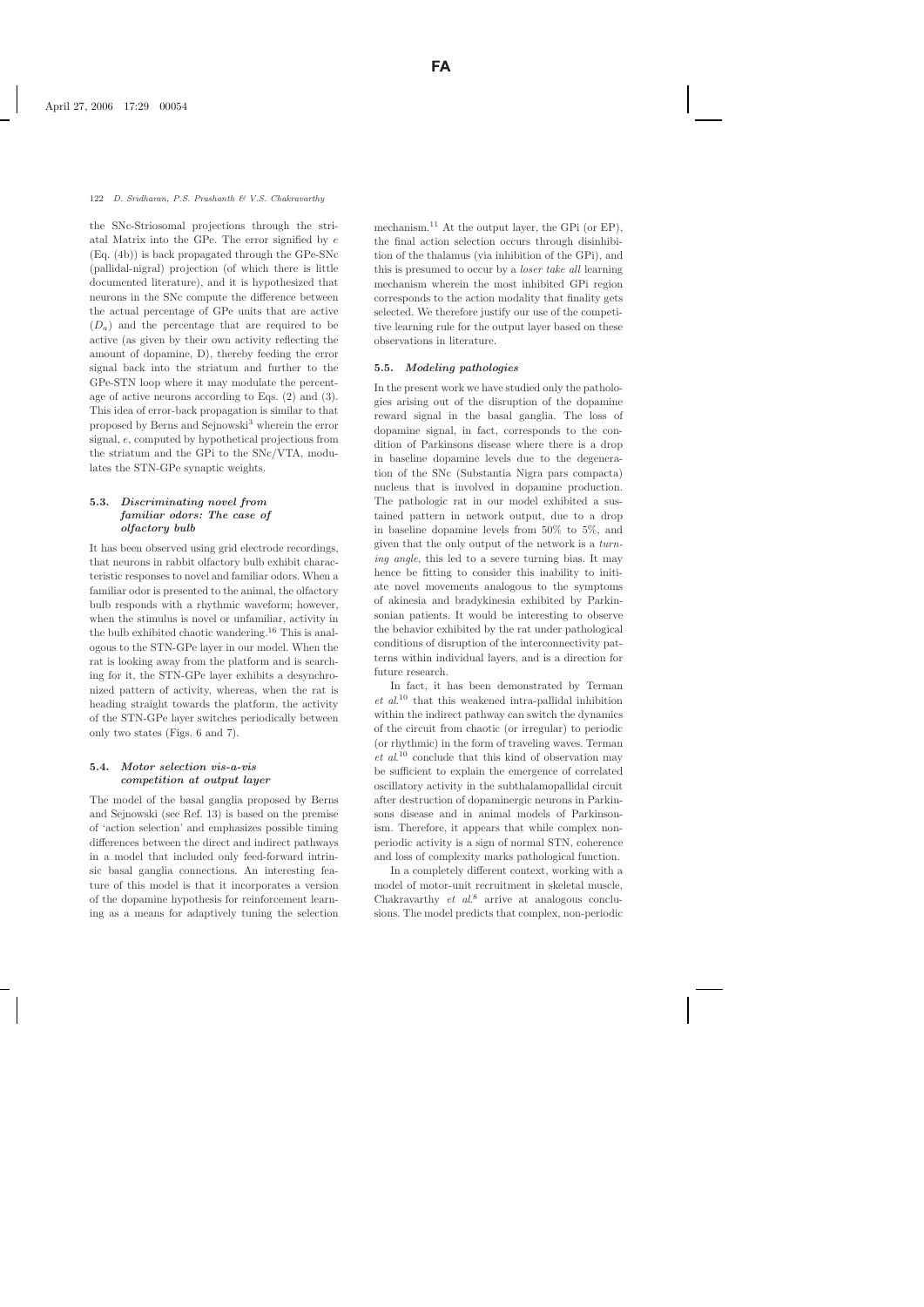the SNc-Striosomal projections through the striatal Matrix into the GPe. The error signified by  $e$ (Eq. (4b)) is back propagated through the GPe-SNc (pallidal-nigral) projection (of which there is little documented literature), and it is hypothesized that neurons in the SNc compute the difference between the actual percentage of GPe units that are active  $(D_a)$  and the percentage that are required to be active (as given by their own activity reflecting the amount of dopamine, D), thereby feeding the error signal back into the striatum and further to the GPe-STN loop where it may modulate the percentage of active neurons according to Eqs. (2) and (3). This idea of error-back propagation is similar to that proposed by Berns and Sejnowski<sup>3</sup> wherein the error signal, e, computed by hypothetical projections from the striatum and the GPi to the SNc/VTA, modulates the STN-GPe synaptic weights.

# **5.3.** *Discriminating novel from familiar odors: The case of olfactory bulb*

It has been observed using grid electrode recordings, that neurons in rabbit olfactory bulb exhibit characteristic responses to novel and familiar odors. When a familiar odor is presented to the animal, the olfactory bulb responds with a rhythmic waveform; however, when the stimulus is novel or unfamiliar, activity in the bulb exhibited chaotic wandering.<sup>16</sup> This is analogous to the STN-GPe layer in our model. When the rat is looking away from the platform and is searching for it, the STN-GPe layer exhibits a desynchronized pattern of activity, whereas, when the rat is heading straight towards the platform, the activity of the STN-GPe layer switches periodically between only two states (Figs. 6 and 7).

# **5.4.** *Motor selection vis-a-vis competition at output layer*

The model of the basal ganglia proposed by Berns and Sejnowski (see Ref. 13) is based on the premise of 'action selection' and emphasizes possible timing differences between the direct and indirect pathways in a model that included only feed-forward intrinsic basal ganglia connections. An interesting feature of this model is that it incorporates a version of the dopamine hypothesis for reinforcement learning as a means for adaptively tuning the selection mechanism.<sup>11</sup> At the output layer, the GPi (or EP), the final action selection occurs through disinhibition of the thalamus (via inhibition of the GPi), and this is presumed to occur by a *loser take all* learning mechanism wherein the most inhibited GPi region corresponds to the action modality that finality gets selected. We therefore justify our use of the competitive learning rule for the output layer based on these observations in literature.

# **5.5.** *Modeling pathologies*

In the present work we have studied only the pathologies arising out of the disruption of the dopamine reward signal in the basal ganglia. The loss of dopamine signal, in fact, corresponds to the condition of Parkinsons disease where there is a drop in baseline dopamine levels due to the degeneration of the SNc (Substantia Nigra pars compacta) nucleus that is involved in dopamine production. The pathologic rat in our model exhibited a sustained pattern in network output, due to a drop in baseline dopamine levels from 50% to 5%, and given that the only output of the network is a *turning angle*, this led to a severe turning bias. It may hence be fitting to consider this inability to initiate novel movements analogous to the symptoms of akinesia and bradykinesia exhibited by Parkinsonian patients. It would be interesting to observe the behavior exhibited by the rat under pathological conditions of disruption of the interconnectivity patterns within individual layers, and is a direction for future research.

In fact, it has been demonstrated by Terman *et al*. <sup>10</sup> that this weakened intra-pallidal inhibition within the indirect pathway can switch the dynamics of the circuit from chaotic (or irregular) to periodic (or rhythmic) in the form of traveling waves. Terman *et al*. <sup>10</sup> conclude that this kind of observation may be sufficient to explain the emergence of correlated oscillatory activity in the subthalamopallidal circuit after destruction of dopaminergic neurons in Parkinsons disease and in animal models of Parkinsonism. Therefore, it appears that while complex nonperiodic activity is a sign of normal STN, coherence and loss of complexity marks pathological function.

In a completely different context, working with a model of motor-unit recruitment in skeletal muscle, Chakravarthy *et al*. <sup>8</sup> arrive at analogous conclusions. The model predicts that complex, non-periodic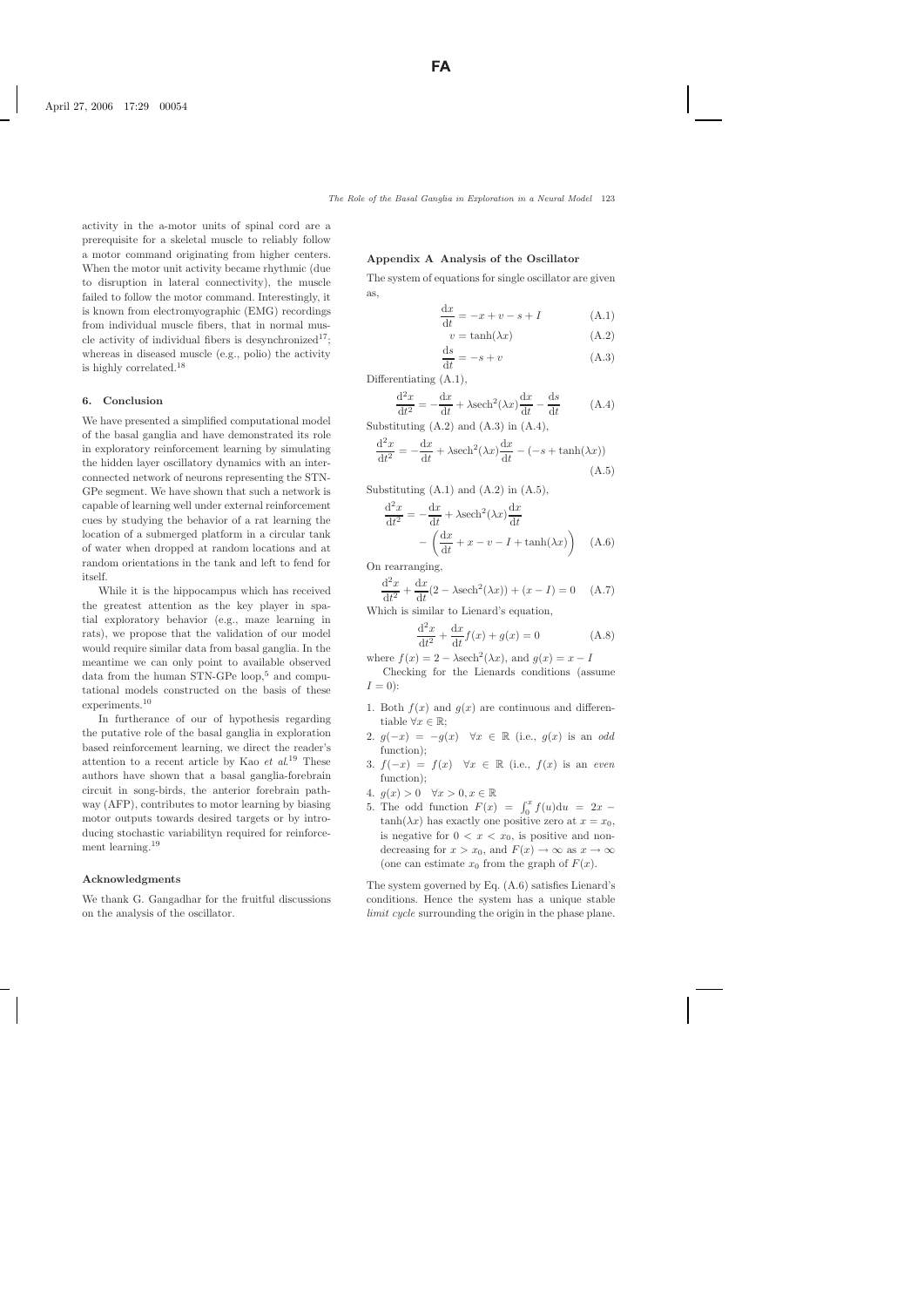activity in the a-motor units of spinal cord are a prerequisite for a skeletal muscle to reliably follow a motor command originating from higher centers. When the motor unit activity became rhythmic (due to disruption in lateral connectivity), the muscle failed to follow the motor command. Interestingly, it is known from electromyographic (EMG) recordings from individual muscle fibers, that in normal muscle activity of individual fibers is desynchronized<sup>17</sup>; whereas in diseased muscle (e.g., polio) the activity is highly correlated.<sup>18</sup>

# **6. Conclusion**

We have presented a simplified computational model of the basal ganglia and have demonstrated its role in exploratory reinforcement learning by simulating the hidden layer oscillatory dynamics with an interconnected network of neurons representing the STN-GPe segment. We have shown that such a network is capable of learning well under external reinforcement cues by studying the behavior of a rat learning the location of a submerged platform in a circular tank of water when dropped at random locations and at random orientations in the tank and left to fend for itself.

While it is the hippocampus which has received the greatest attention as the key player in spatial exploratory behavior (e.g., maze learning in rats), we propose that the validation of our model would require similar data from basal ganglia. In the meantime we can only point to available observed data from the human STN-GPe loop,<sup>5</sup> and computational models constructed on the basis of these experiments.<sup>10</sup>

In furtherance of our of hypothesis regarding the putative role of the basal ganglia in exploration based reinforcement learning, we direct the reader's attention to a recent article by Kao *et al*. <sup>19</sup> These authors have shown that a basal ganglia-forebrain circuit in song-birds, the anterior forebrain pathway (AFP), contributes to motor learning by biasing motor outputs towards desired targets or by introducing stochastic variabilityn required for reinforcement learning.<sup>19</sup>

### **Acknowledgments**

We thank G. Gangadhar for the fruitful discussions on the analysis of the oscillator.

# **Appendix A Analysis of the Oscillator**

The system of equations for single oscillator are given as,

$$
\frac{\mathrm{d}x}{\mathrm{d}t} = -x + v - s + I \tag{A.1}
$$

$$
v = \tanh(\lambda x) \tag{A.2}
$$

$$
\frac{\mathrm{d}s}{\mathrm{d}t} = -s + v \tag{A.3}
$$

Differentiating (A.1),

$$
\frac{d^2x}{dt^2} = -\frac{dx}{dt} + \lambda \operatorname{sech}^2(\lambda x) \frac{dx}{dt} - \frac{ds}{dt}
$$
 (A.4)

Substituting  $(A.2)$  and  $(A.3)$  in  $(A.4)$ ,

$$
\frac{d^2x}{dt^2} = -\frac{dx}{dt} + \lambda \operatorname{sech}^2(\lambda x) \frac{dx}{dt} - (-s + \tanh(\lambda x))
$$
\n(A.5)

Substituting  $(A.1)$  and  $(A.2)$  in  $(A.5)$ ,

$$
\frac{d^2x}{dt^2} = -\frac{dx}{dt} + \lambda \operatorname{sech}^2(\lambda x) \frac{dx}{dt}
$$

$$
-\left(\frac{dx}{dt} + x - v - I + \tanh(\lambda x)\right) \quad (A.6)
$$

On rearranging,

 $\mathbf{d}$ 

 $\overline{Q}$ 

$$
\frac{\mathrm{d}^2x}{\mathrm{d}t^2} + \frac{\mathrm{d}x}{\mathrm{d}t}(2 - \lambda \mathrm{sech}^2(\lambda x)) + (x - I) = 0 \quad \text{(A.7)}
$$

Which is similar to Lineard's equation,  

$$
\frac{d^2x}{dx} \frac{dx}{dx} f(x) + g(x) = 0
$$

$$
\frac{d^2 x}{dt^2} + \frac{d^2 x}{dt} f(x) + g(x) = 0 \tag{A.8}
$$

where  $f(x)=2 - \lambda \text{sech}^{2}(\lambda x)$ , and  $q(x) = x - I$ 

Checking for the Lienards conditions (assume  $I = 0$ :

- 1. Both  $f(x)$  and  $g(x)$  are continuous and differentiable  $\forall x \in \mathbb{R};$
- 2.  $g(-x) = -g(x) \quad \forall x \in \mathbb{R}$  (i.e.,  $g(x)$  is an *odd* function);
- 3.  $f(-x) = f(x) \quad \forall x \in \mathbb{R}$  (i.e.,  $f(x)$  is an *even* function);
- 4.  $g(x) > 0 \quad \forall x > 0, x \in \mathbb{R}$
- 5. The odd function  $F(x) = \int_0^x f(u) \mathrm{d}u = 2x$  $tanh(\lambda x)$  has exactly one positive zero at  $x = x_0$ , is negative for  $0 < x < x_0$ , is positive and nondecreasing for  $x > x_0$ , and  $F(x) \to \infty$  as  $x \to \infty$ (one can estimate  $x_0$  from the graph of  $F(x)$ .

The system governed by Eq. (A.6) satisfies Lienard's conditions. Hence the system has a unique stable *limit cycle* surrounding the origin in the phase plane.